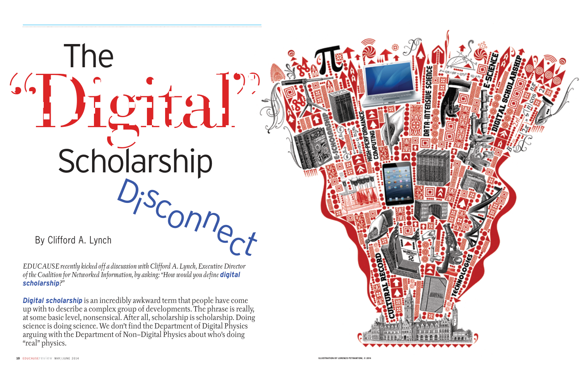**Trient + of** 



By Clifford A. Lynch

*EDUCAUSE recently kicked off a discussion with Clifford A. Lynch, Executive Director of the Coalition for Networked Information, by asking: "How would you define digital scholarship?"*

**Digital scholarship** is an incredibly awkward term that people have come up with to describe a complex group of developments. The phrase is really, at some basic level, nonsensical. After all, scholarship is scholarship. Doing science is doing science. We don't find the Department of Digital Physics arguing with the Department of Non–Digital Physics about who's doing "real" physics.

## "Digital" Di sconnect Scholarship The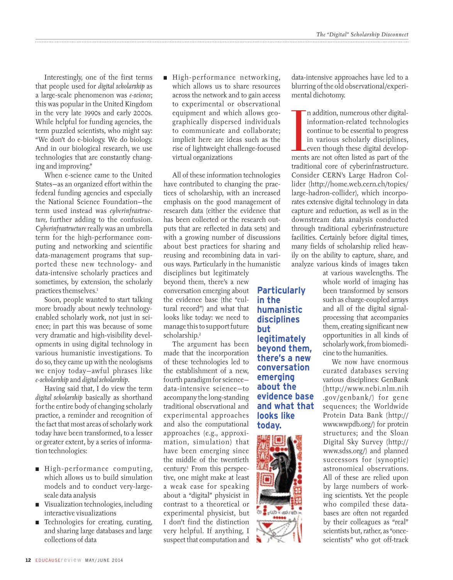Interestingly, one of the first terms that people used for *digital scholarship* as a large-scale phenomenon was *e-science*; this was popular in the United Kingdom in the very late 1990s and early 2000s. While helpful for funding agencies, the term puzzled scientists, who might say: "We don't do e-biology. We do biology. And in our biological research, we use technologies that are constantly changing and improving."

When e-science came to the United States—as an organized effort within the federal funding agencies and especially the National Science Foundation—the term used instead was *cyberinfrastructure,* further adding to the confusion. *Cyberinfrastructure* really was an umbrella term for the high-performance computing and networking and scientific data-management programs that supported these new technology- and data-intensive scholarly practices and sometimes, by extension, the scholarly practices themselves.1

Soon, people wanted to start talking more broadly about newly technologyenabled scholarly work, not just in science; in part this was because of some very dramatic and high-visibility developments in using digital technology in various humanistic investigations. To do so, they came up with the neologisms we enjoy today—awful phrases like *e-scholarship* and *digital scholarship*.

Having said that, I do view the term *digital scholarship* basically as shorthand for the entire body of changing scholarly practice, a reminder and recognition of the fact that most areas of scholarly work today have been transformed, to a lesser or greater extent, by a series of information technologies:

- High-performance computing, which allows us to build simulation models and to conduct very-largescale data analysis
- Visualization technologies, including interactive visualizations
- Technologies for creating, curating, and sharing large databases and large collections of data

n High-performance networking, which allows us to share resources across the network and to gain access to experimental or observational equipment and which allows geographically dispersed individuals to communicate and collaborate; implicit here are ideas such as the rise of lightweight challenge-focused virtual organizations

All of these information technologies have contributed to changing the practices of scholarship, with an increased emphasis on the good management of research data (either the evidence that has been collected or the research outputs that are reflected in data sets) and with a growing number of discussions about best practices for sharing and reusing and recombining data in various ways. Particularly in the humanistic

disciplines but legitimately beyond them, there's a new conversation emerging about **Particularly**  the evidence base (the "cultural record") and what that looks like today: we need to manage this to support future scholarship.2

The argument has been made that the incorporation of these technologies led to the establishment of a new, fourth paradigm for science data-intensive science—to accompany the long-standing traditional observational and experimental approaches and also the computational approaches (e.g., approximation, simulation) that have been emerging since the middle of the twentieth century.3 From this perspective, one might make at least a weak case for speaking about a "digital" physicist in contrast to a theoretical or experimental physicist, but I don't find the distinction very helpful. If anything, I suspect that computation and

## **in the humanistic disciplines but legitimately beyond them, there's a new conversation emerging about the evidence base and what that looks like today.**



data-intensive approaches have led to a blurring of the old observational/experimental dichotomy.

In addition, numerous other digital-<br>information-related technologies<br>continue to be essential to progress<br>in various scholarly disciplines,<br>even though these digital develop-<br>ments are not often listed as part of the n addition, numerous other digitalinformation-related technologies continue to be essential to progress in various scholarly disciplines, even though these digital developtraditional core of cyberinfrastructure. Consider CERN's Large Hadron Collider (http://home.web.cern.ch/topics/ large-hadron-collider), which incorporates extensive digital technology in data capture and reduction, as well as in the downstream data analysis conducted through traditional cyberinfrastructure facilities. Certainly before digital times, many fields of scholarship relied heavily on the ability to capture, share, and analyze various kinds of images taken

at various wavelengths. The whole world of imaging has been transformed by sensors such as charge-coupled arrays and all of the digital signalprocessing that accompanies them, creating significant new opportunities in all kinds of scholarly work, from biomedicine to the humanities.

We now have enormous curated databases serving various disciplines: GenBank (http://www.ncbi.nlm.nih .gov/genbank/) for gene sequences; the Worldwide Protein Data Bank (http:// www.wwpdb.org/) for protein structures; and the Sloan Digital Sky Survey (http:// www.sdss.org/) and planned successors for (synoptic) astronomical observations. All of these are relied upon by large numbers of working scientists. Yet the people who compiled these databases are often not regarded by their colleagues as "real" scientists but, rather, as "oncescientists" who got off-track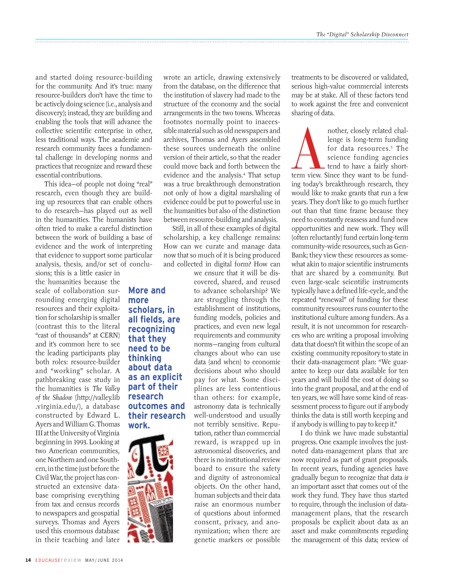and started doing resource-building for the community. And it's true: many resource-builders don't have the time to be actively doing science (i.e., analysis and discovery); instead, they are building and enabling the tools that will advance the collective scientific enterprise in other, less traditional ways. The academic and research community faces a fundamental challenge in developing norms and practices that recognize and reward these essential contributions.

This idea—of people not doing "real" research, even though they are building up resources that can enable others to do research—has played out as well in the humanities. The humanists have often tried to make a careful distinction between the work of building a base of evidence and the work of interpreting that evidence to support some particular analysis, thesis, and/or set of conclu-

> **More and more**

**work.**

**scholars, in all fields, are recognizing that they need to be thinking about data as an explicit part of their research outcomes and their research** 

sions; this is a little easier in the humanities because the scale of collaboration surrounding emerging digital resources and their exploitation for scholarship is smaller (contrast this to the literal "cast of thousands" at CERN) and it's common here to see the leading participants play both roles: resource-builder and "working" scholar. A pathbreaking case study in the humanities is *The Valley of the Shadow* (http://valley.lib .virginia.edu/), a database constructed by Edward L. Ayers and William G. Thomas III at the University of Virginia beginning in 1993. Looking at two American communities, one Northern and one Southern, in the time just before the Civil War, the project has constructed an extensive database comprising everything from tax and census records to newspapers and geospatial surveys. Thomas and Ayers used this enormous database in their teaching and later

wrote an article, drawing extensively from the database, on the difference that the institution of slavery had made to the structure of the economy and the social arrangements in the two towns. Whereas footnotes normally point to inaccessible material such as old newspapers and archives, Thomas and Ayers assembled these sources underneath the online version of their article, so that the reader could move back and forth between the evidence and the analysis.4 That setup was a true breakthrough demonstration not only of how a digital marshaling of evidence could be put to powerful use in the humanities but also of the distinction between resource-building and analysis.

Still, in all of these examples of digital scholarship, a key challenge remains: How can we curate and manage data now that so much of it is being produced and collected in digital form? How can

> we ensure that it will be discovered, shared, and reused to advance scholarship? We are struggling through the establishment of institutions, funding models, policies and practices, and even new legal requirements and community norms—ranging from cultural changes about who can use data (and when) to economic decisions about who should pay for what. Some disciplines are less contentious than others: for example, astronomy data is technically well-understood and usually not terribly sensitive. Reputation, rather than commercial reward, is wrapped up in astronomical discoveries, and there is no institutional review board to ensure the safety and dignity of astronomical objects. On the other hand, human subjects and their data raise an enormous number of questions about informed consent, privacy, and anonymization; when there are genetic markers or possible

treatments to be discovered or validated, serious high-value commercial interests may be at stake. All of these factors tend to work against the free and convenient sharing of data.

nother, closely related chal-<br>
lenge is long-term funding<br>
for data resources.<sup>5</sup> The<br>
science funding agencies<br>
tend to have a fairly short-<br>
term view. Since they want to be fundlenge is long-term funding for data resources.5 The science funding agencies tend to have a fairly shorting today's breakthrough research, they would like to make grants that run a few years. They don't like to go much further out than that time frame because they need to constantly reassess and fund new opportunities and new work. They will (often reluctantly) fund certain long-term community-wide resources, such as Gen-Bank; they view these resources as somewhat akin to major scientific instruments that are shared by a community. But even large-scale scientific instruments typically have a defined life-cycle, and the repeated "renewal" of funding for these community resources runs counter to the institutional culture among funders. As a result, it is not uncommon for researchers who are writing a proposal involving data that doesn't fit within the scope of an existing community repository to state in their data-management plan: "We guarantee to keep our data available for ten years and will build the cost of doing so into the grant proposal, and at the end of ten years, we will have some kind of reassessment process to figure out if anybody thinks the data is still worth keeping and if anybody is willing to pay to keep it."

I do think we have made substantial progress. One example involves the justnoted data-management plans that are now required as part of grant proposals. In recent years, funding agencies have gradually begun to recognize that data *is* an important asset that comes out of the work they fund. They have thus started to require, through the inclusion of datamanagement plans, that the research proposals be explicit about data as an asset and make commitments regarding the management of this data; review of